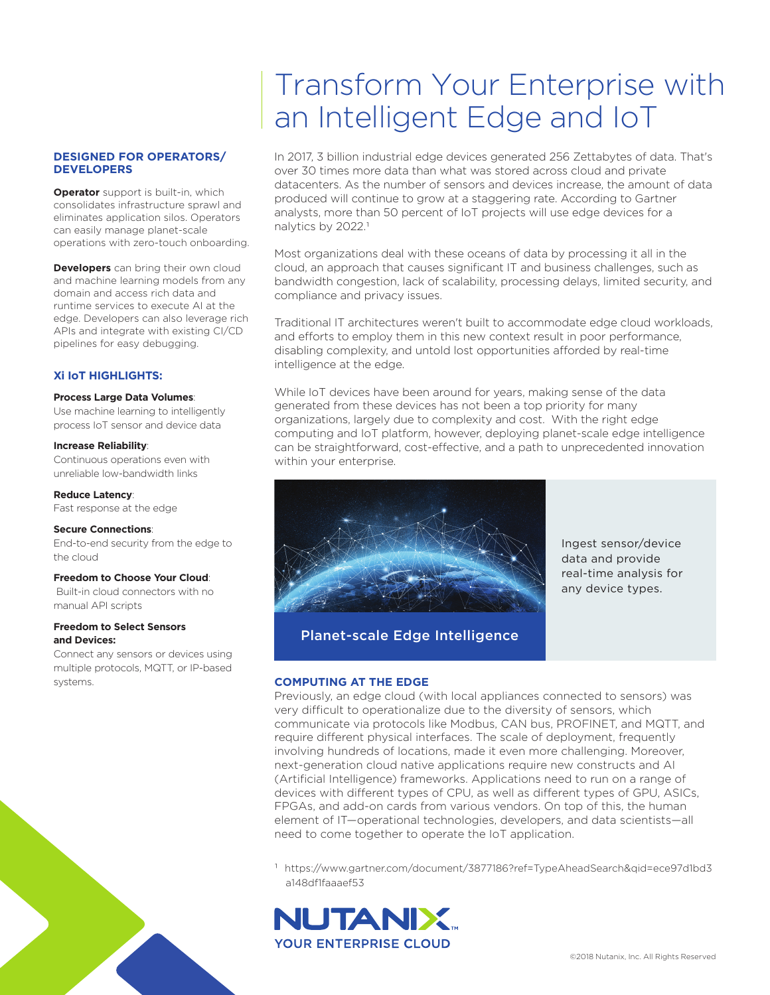### **DESIGNED FOR OPERATORS/ DEVELOPERS**

**Operator** support is built-in, which consolidates infrastructure sprawl and eliminates application silos. Operators can easily manage planet-scale operations with zero-touch onboarding.

**Developers** can bring their own cloud and machine learning models from any domain and access rich data and runtime services to execute AI at the edge. Developers can also leverage rich APIs and integrate with existing CI/CD pipelines for easy debugging.

## **Xi IoT HIGHLIGHTS:**

#### **Process Large Data Volumes**:

Use machine learning to intelligently process IoT sensor and device data

#### **Increase Reliability**:

Continuous operations even with unreliable low-bandwidth links

**Reduce Latency**: Fast response at the edge

#### **Secure Connections**:

End-to-end security from the edge to the cloud

#### **Freedom to Choose Your Cloud**:

 Built-in cloud connectors with no manual API scripts

#### **Freedom to Select Sensors and Devices:**

Connect any sensors or devices using multiple protocols, MQTT, or IP-based systems.



In 2017, 3 billion industrial edge devices generated 256 Zettabytes of data. That's over 30 times more data than what was stored across cloud and private datacenters. As the number of sensors and devices increase, the amount of data produced will continue to grow at a staggering rate. According to Gartner analysts, more than 50 percent of IoT projects will use edge devices for a nalytics by 2022.<sup>1</sup>

Most organizations deal with these oceans of data by processing it all in the cloud, an approach that causes significant IT and business challenges, such as bandwidth congestion, lack of scalability, processing delays, limited security, and compliance and privacy issues.

Traditional IT architectures weren't built to accommodate edge cloud workloads, and efforts to employ them in this new context result in poor performance, disabling complexity, and untold lost opportunities afforded by real-time intelligence at the edge.

While IoT devices have been around for years, making sense of the data generated from these devices has not been a top priority for many organizations, largely due to complexity and cost. With the right edge computing and IoT platform, however, deploying planet-scale edge intelligence can be straightforward, cost-effective, and a path to unprecedented innovation within your enterprise.



Ingest sensor/device data and provide real-time analysis for any device types.

Planet-scale Edge Intelligence

# **COMPUTING AT THE EDGE**

Previously, an edge cloud (with local appliances connected to sensors) was very difficult to operationalize due to the diversity of sensors, which communicate via protocols like Modbus, CAN bus, PROFINET, and MQTT, and require different physical interfaces. The scale of deployment, frequently involving hundreds of locations, made it even more challenging. Moreover, next-generation cloud native applications require new constructs and AI (Artificial Intelligence) frameworks. Applications need to run on a range of devices with different types of CPU, as well as different types of GPU, ASICs, FPGAs, and add-on cards from various vendors. On top of this, the human element of IT—operational technologies, developers, and data scientists—all need to come together to operate the IoT application.

1 https://www.gartner.com/document/3877186?ref=TypeAheadSearch&qid=ece97d1bd3 a148df1faaaef53

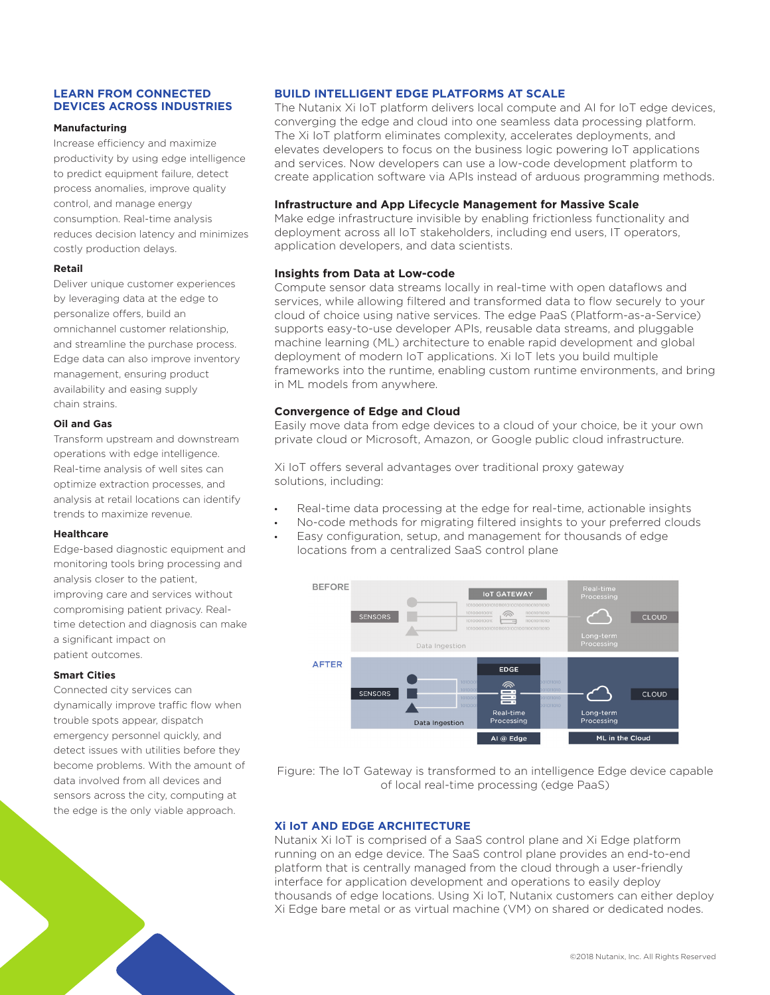## **LEARN FROM CONNECTED DEVICES ACROSS INDUSTRIES**

#### **Manufacturing**

Increase efficiency and maximize productivity by using edge intelligence to predict equipment failure, detect process anomalies, improve quality control, and manage energy consumption. Real-time analysis reduces decision latency and minimizes costly production delays.

## **Retail**

Deliver unique customer experiences by leveraging data at the edge to personalize offers, build an omnichannel customer relationship, and streamline the purchase process. Edge data can also improve inventory management, ensuring product availability and easing supply chain strains.

## **Oil and Gas**

Transform upstream and downstream operations with edge intelligence. Real-time analysis of well sites can optimize extraction processes, and analysis at retail locations can identify trends to maximize revenue.

## **Healthcare**

Edge-based diagnostic equipment and monitoring tools bring processing and analysis closer to the patient, improving care and services without compromising patient privacy. Realtime detection and diagnosis can make a significant impact on patient outcomes.

## **Smart Cities**

Connected city services can dynamically improve traffic flow when trouble spots appear, dispatch emergency personnel quickly, and detect issues with utilities before they become problems. With the amount of data involved from all devices and sensors across the city, computing at the edge is the only viable approach.

# **BUILD INTELLIGENT EDGE PLATFORMS AT SCALE**

The Nutanix Xi IoT platform delivers local compute and AI for IoT edge devices, converging the edge and cloud into one seamless data processing platform. The Xi IoT platform eliminates complexity, accelerates deployments, and elevates developers to focus on the business logic powering IoT applications and services. Now developers can use a low-code development platform to create application software via APIs instead of arduous programming methods.

## **Infrastructure and App Lifecycle Management for Massive Scale**

Make edge infrastructure invisible by enabling frictionless functionality and deployment across all IoT stakeholders, including end users, IT operators, application developers, and data scientists.

## **Insights from Data at Low-code**

Compute sensor data streams locally in real-time with open dataflows and services, while allowing filtered and transformed data to flow securely to your cloud of choice using native services. The edge PaaS (Platform-as-a-Service) supports easy-to-use developer APIs, reusable data streams, and pluggable machine learning (ML) architecture to enable rapid development and global deployment of modern IoT applications. Xi IoT lets you build multiple frameworks into the runtime, enabling custom runtime environments, and bring in ML models from anywhere.

# **Convergence of Edge and Cloud**

Easily move data from edge devices to a cloud of your choice, be it your own private cloud or Microsoft, Amazon, or Google public cloud infrastructure.

Xi IoT offers several advantages over traditional proxy gateway solutions, including:

- Real-time data processing at the edge for real-time, actionable insights
- No-code methods for migrating filtered insights to your preferred clouds
- Easy configuration, setup, and management for thousands of edge locations from a centralized SaaS control plane



Figure: The IoT Gateway is transformed to an intelligence Edge device capable of local real-time processing (edge PaaS)

# **Xi IoT AND EDGE ARCHITECTURE**

Nutanix Xi IoT is comprised of a SaaS control plane and Xi Edge platform running on an edge device. The SaaS control plane provides an end-to-end platform that is centrally managed from the cloud through a user-friendly interface for application development and operations to easily deploy thousands of edge locations. Using Xi IoT, Nutanix customers can either deploy Xi Edge bare metal or as virtual machine (VM) on shared or dedicated nodes.